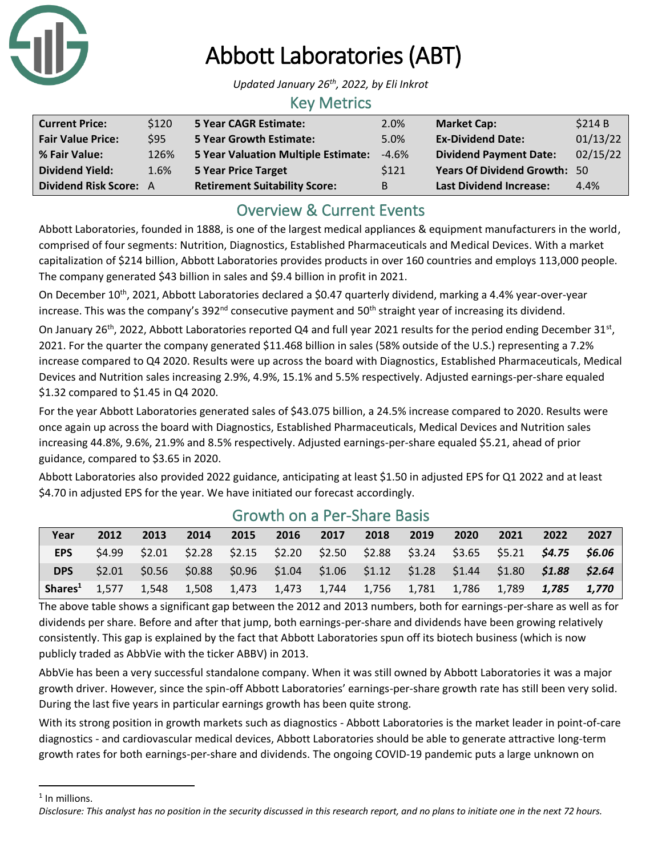

# Abbott Laboratories (ABT)

*Updated January 26th , 2022, by Eli Inkrot*

#### Key Metrics

| <b>Current Price:</b>    | \$120 | <b>5 Year CAGR Estimate:</b>         | 2.0%    | <b>Market Cap:</b>                  | \$214B   |
|--------------------------|-------|--------------------------------------|---------|-------------------------------------|----------|
| <b>Fair Value Price:</b> | \$95  | <b>5 Year Growth Estimate:</b>       | 5.0%    | <b>Ex-Dividend Date:</b>            | 01/13/22 |
| % Fair Value:            | 126%  | 5 Year Valuation Multiple Estimate:  | $-4.6%$ | <b>Dividend Payment Date:</b>       | 02/15/22 |
| <b>Dividend Yield:</b>   | 1.6%  | 5 Year Price Target                  | \$121   | <b>Years Of Dividend Growth: 50</b> |          |
| Dividend Risk Score: A   |       | <b>Retirement Suitability Score:</b> | B       | <b>Last Dividend Increase:</b>      | 4.4%     |

### Overview & Current Events

Abbott Laboratories, founded in 1888, is one of the largest medical appliances & equipment manufacturers in the world, comprised of four segments: Nutrition, Diagnostics, Established Pharmaceuticals and Medical Devices. With a market capitalization of \$214 billion, Abbott Laboratories provides products in over 160 countries and employs 113,000 people. The company generated \$43 billion in sales and \$9.4 billion in profit in 2021.

On December 10<sup>th</sup>, 2021, Abbott Laboratories declared a \$0.47 quarterly dividend, marking a 4.4% year-over-year increase. This was the company's 392<sup>nd</sup> consecutive payment and 50<sup>th</sup> straight year of increasing its dividend.

On January 26<sup>th</sup>, 2022, Abbott Laboratories reported Q4 and full year 2021 results for the period ending December 31<sup>st</sup>, 2021. For the quarter the company generated \$11.468 billion in sales (58% outside of the U.S.) representing a 7.2% increase compared to Q4 2020. Results were up across the board with Diagnostics, Established Pharmaceuticals, Medical Devices and Nutrition sales increasing 2.9%, 4.9%, 15.1% and 5.5% respectively. Adjusted earnings-per-share equaled \$1.32 compared to \$1.45 in Q4 2020.

For the year Abbott Laboratories generated sales of \$43.075 billion, a 24.5% increase compared to 2020. Results were once again up across the board with Diagnostics, Established Pharmaceuticals, Medical Devices and Nutrition sales increasing 44.8%, 9.6%, 21.9% and 8.5% respectively. Adjusted earnings-per-share equaled \$5.21, ahead of prior guidance, compared to \$3.65 in 2020.

Abbott Laboratories also provided 2022 guidance, anticipating at least \$1.50 in adjusted EPS for Q1 2022 and at least \$4.70 in adjusted EPS for the year. We have initiated our forecast accordingly.

| Year                                                                            | 2012   | 2013 | 2014 | 2015 | 2016 2017 | 2018 | 2019 | 2020 | 2021 | 2022                                                                                            | 2027 |
|---------------------------------------------------------------------------------|--------|------|------|------|-----------|------|------|------|------|-------------------------------------------------------------------------------------------------|------|
| <b>EPS</b>                                                                      |        |      |      |      |           |      |      |      |      | $$4.99$ $$2.01$ $$2.28$ $$2.15$ $$2.20$ $$2.50$ $$2.88$ $$3.24$ $$3.65$ $$5.21$ $$4.75$ $$6.06$ |      |
| <b>DPS</b>                                                                      | \$2.01 |      |      |      |           |      |      |      |      | $$0.56$ $$0.88$ $$0.96$ $$1.04$ $$1.06$ $$1.12$ $$1.28$ $$1.44$ $$1.80$ $$1.88$ $$2.64$         |      |
| Shares <sup>1</sup> 1,577 1,548 1,508 1,473 1,473 1,744 1,756 1,781 1,786 1,789 |        |      |      |      |           |      |      |      |      | 1.785 1.770                                                                                     |      |

#### Growth on a Per-Share Basis

The above table shows a significant gap between the 2012 and 2013 numbers, both for earnings-per-share as well as for dividends per share. Before and after that jump, both earnings-per-share and dividends have been growing relatively consistently. This gap is explained by the fact that Abbott Laboratories spun off its biotech business (which is now publicly traded as AbbVie with the ticker ABBV) in 2013.

AbbVie has been a very successful standalone company. When it was still owned by Abbott Laboratories it was a major growth driver. However, since the spin-off Abbott Laboratories' earnings-per-share growth rate has still been very solid. During the last five years in particular earnings growth has been quite strong.

With its strong position in growth markets such as diagnostics - Abbott Laboratories is the market leader in point-of-care diagnostics - and cardiovascular medical devices, Abbott Laboratories should be able to generate attractive long-term growth rates for both earnings-per-share and dividends. The ongoing COVID-19 pandemic puts a large unknown on

<sup>1</sup> In millions.

*Disclosure: This analyst has no position in the security discussed in this research report, and no plans to initiate one in the next 72 hours.*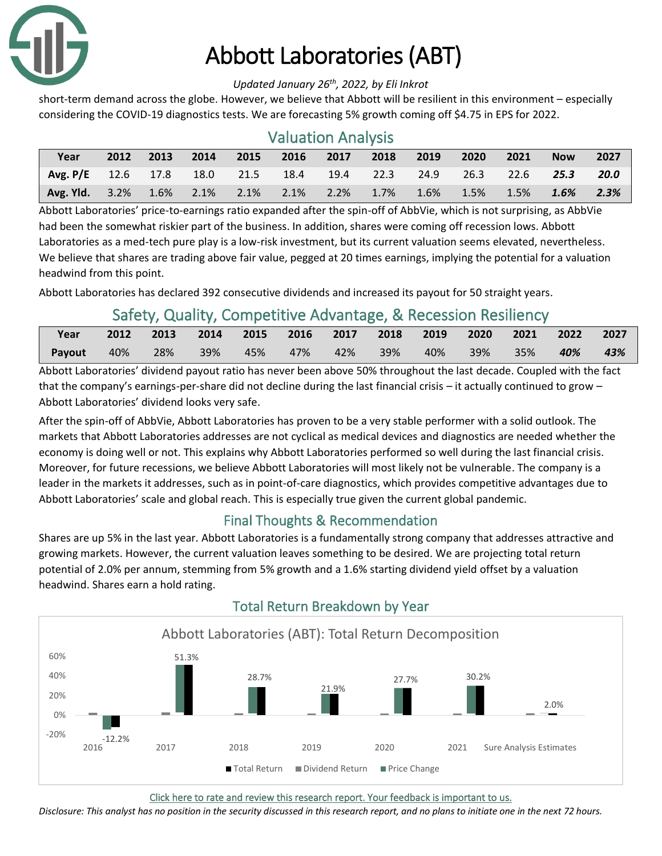

# Abbott Laboratories (ABT)

#### *Updated January 26th , 2022, by Eli Inkrot*

short-term demand across the globe. However, we believe that Abbott will be resilient in this environment – especially considering the COVID-19 diagnostics tests. We are forecasting 5% growth coming off \$4.75 in EPS for 2022.

| <b>Valuation Analysis</b>  |      |      |      |      |                     |           |      |         |      |      |            |      |
|----------------------------|------|------|------|------|---------------------|-----------|------|---------|------|------|------------|------|
| Year                       | 2012 | 2013 | 2014 | 2015 | 2016                | 2017      | 2018 | 2019    | 2020 | 2021 | <b>Now</b> | 2027 |
| Avg. $P/E$ 12.6 17.8       |      |      |      |      | 18.0 21.5 18.4      | 19.4 22.3 |      | 24.9    | 26.3 | 22.6 | 25.3       | 20.0 |
| <b>Avg. Yld.</b> 3.2% 1.6% |      |      |      |      | 2.1% 2.1% 2.1% 2.2% |           | 1.7% | $1.6\%$ | 1.5% | 1.5% | 1.6%       | 2.3% |

Abbott Laboratories' price-to-earnings ratio expanded after the spin-off of AbbVie, which is not surprising, as AbbVie had been the somewhat riskier part of the business. In addition, shares were coming off recession lows. Abbott Laboratories as a med-tech pure play is a low-risk investment, but its current valuation seems elevated, nevertheless. We believe that shares are trading above fair value, pegged at 20 times earnings, implying the potential for a valuation headwind from this point.

Abbott Laboratories has declared 392 consecutive dividends and increased its payout for 50 straight years.

### Safety, Quality, Competitive Advantage, & Recession Resiliency

| Year   | 2012 | 2013 | 2014 2015 2016 2017 2018 2019 2020 |         |         |     |        |     | 2021 | 2022 2027 |     |
|--------|------|------|------------------------------------|---------|---------|-----|--------|-----|------|-----------|-----|
| Payout | 40%  | 28%  | 39%                                | 45% 47% | $-42\%$ | 39% | $-40%$ | 39% | 35%  | $-40\%$   | 43% |

Abbott Laboratories' dividend payout ratio has never been above 50% throughout the last decade. Coupled with the fact that the company's earnings-per-share did not decline during the last financial crisis – it actually continued to grow – Abbott Laboratories' dividend looks very safe.

After the spin-off of AbbVie, Abbott Laboratories has proven to be a very stable performer with a solid outlook. The markets that Abbott Laboratories addresses are not cyclical as medical devices and diagnostics are needed whether the economy is doing well or not. This explains why Abbott Laboratories performed so well during the last financial crisis. Moreover, for future recessions, we believe Abbott Laboratories will most likely not be vulnerable. The company is a leader in the markets it addresses, such as in point-of-care diagnostics, which provides competitive advantages due to Abbott Laboratories' scale and global reach. This is especially true given the current global pandemic.

#### Final Thoughts & Recommendation

Shares are up 5% in the last year. Abbott Laboratories is a fundamentally strong company that addresses attractive and growing markets. However, the current valuation leaves something to be desired. We are projecting total return potential of 2.0% per annum, stemming from 5% growth and a 1.6% starting dividend yield offset by a valuation headwind. Shares earn a hold rating.



#### Total Return Breakdown by Year

[Click here to rate and review this research report. Your feedback is important to us.](https://suredividend.typeform.com/to/S0SIkB)

*Disclosure: This analyst has no position in the security discussed in this research report, and no plans to initiate one in the next 72 hours.*